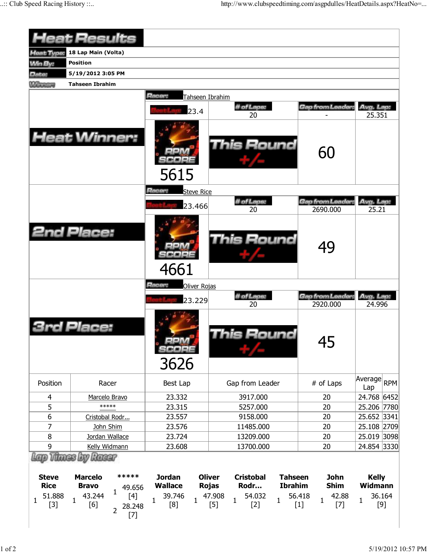|                                                                | <b>Heat Results</b>                                                                                                                                |                                                                                  |                                                                                                                                                                     |                                                                                 |                                                            |
|----------------------------------------------------------------|----------------------------------------------------------------------------------------------------------------------------------------------------|----------------------------------------------------------------------------------|---------------------------------------------------------------------------------------------------------------------------------------------------------------------|---------------------------------------------------------------------------------|------------------------------------------------------------|
| Heat Type:                                                     | 18 Lap Main (Volta)                                                                                                                                |                                                                                  |                                                                                                                                                                     |                                                                                 |                                                            |
| <b>Win By:</b>                                                 | <b>Position</b>                                                                                                                                    |                                                                                  |                                                                                                                                                                     |                                                                                 |                                                            |
| Date:                                                          | 5/19/2012 3:05 PM                                                                                                                                  |                                                                                  |                                                                                                                                                                     |                                                                                 |                                                            |
| <b>Winning</b>                                                 | <b>Tahseen Ibrahim</b>                                                                                                                             |                                                                                  |                                                                                                                                                                     |                                                                                 |                                                            |
|                                                                |                                                                                                                                                    | Racer:<br>Tahseen Ibrahim                                                        | # of Laps:                                                                                                                                                          | Gap from Leader:                                                                | Avg. Lap:                                                  |
|                                                                | <b>Heat Winner:</b>                                                                                                                                | 23.4<br>5615                                                                     | 20<br><b>This Round</b>                                                                                                                                             | 60                                                                              | 25.351                                                     |
|                                                                |                                                                                                                                                    | Racer:<br><b>Steve Rice</b><br>23.466                                            | # of Laps:                                                                                                                                                          | Gap from Leader:                                                                | Avg. Lap:                                                  |
|                                                                | <b>2nd Place:</b>                                                                                                                                  | 4661                                                                             | 20<br><b>This Round</b>                                                                                                                                             | 2690.000<br>49                                                                  | 25.21                                                      |
|                                                                |                                                                                                                                                    | Racer:<br>Oliver Rojas                                                           |                                                                                                                                                                     |                                                                                 |                                                            |
|                                                                |                                                                                                                                                    | 23.229                                                                           | # of Laps:                                                                                                                                                          | Gap from Leader:                                                                | Avg. Lap:                                                  |
|                                                                | Place:                                                                                                                                             | 3626                                                                             | 20<br>his Round                                                                                                                                                     | 2920.000<br>45                                                                  | 24.996                                                     |
| Position                                                       | Racer                                                                                                                                              | Best Lap                                                                         | Gap from Leader                                                                                                                                                     | # of Laps                                                                       | Average RPM<br>Lap                                         |
| 4                                                              | Marcelo Bravo                                                                                                                                      | 23.332                                                                           | 3917.000                                                                                                                                                            | 20                                                                              | 24.768 6452                                                |
| 5                                                              | *****                                                                                                                                              | 23.315                                                                           | 5257.000                                                                                                                                                            | 20                                                                              | 25.206 7780                                                |
| 6                                                              | Cristobal Rodr                                                                                                                                     | 23.557                                                                           | 9158.000                                                                                                                                                            | 20                                                                              | 25.652 3341                                                |
| $\overline{7}$                                                 | John Shim                                                                                                                                          | 23.576                                                                           | 11485.000                                                                                                                                                           | 20                                                                              | 25.108 2709                                                |
| 8                                                              | Jordan Wallace                                                                                                                                     | 23.724                                                                           | 13209.000                                                                                                                                                           | 20                                                                              | 25.019 3098                                                |
| 9                                                              | Kelly Widmann                                                                                                                                      | 23.608                                                                           | 13700.000                                                                                                                                                           | 20                                                                              | 24.854 3330                                                |
| <b>Steve</b><br><b>Rice</b><br>51.888<br>$\mathbf{1}$<br>$[3]$ | Lano Thunas Loy Ranaar<br>*****<br><b>Marcelo</b><br><b>Bravo</b><br>49.656<br>1<br>43.244<br>$[4]$<br>$\mathbf{1}$<br>[6]<br>28.248<br>2<br>$[7]$ | <b>Jordan</b><br><b>Wallace</b><br>39.746<br>$\mathbf{1}$<br>$\mathbf{1}$<br>[8] | <b>Oliver</b><br><b>Cristobal</b><br><b>Tahseen</b><br><b>Ibrahim</b><br>Rodr<br><b>Rojas</b><br>47.908<br>54.032<br>$\mathbf{1}$<br>$\mathbf{1}$<br>$[5]$<br>$[2]$ | <b>John</b><br><b>Shim</b><br>56.418<br>42.88<br>$\mathbf{1}$<br>$[1]$<br>$[7]$ | <b>Kelly</b><br>Widmann<br>36.164<br>$\mathbf{1}$<br>$[9]$ |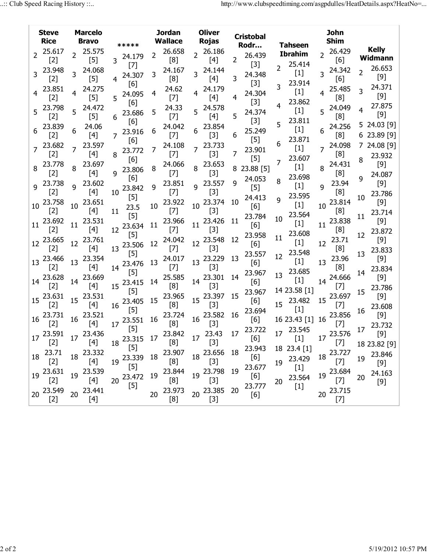|    | <b>Steve</b><br><b>Rice</b>    |                | <b>Marcelo</b><br><b>Bravo</b>                                                                                                                                                                                             |                                                                                                                                                                                                                                                                                                  | <b>Jordan</b><br><b>Wallace</b> |                                | <b>Oliver</b><br>Rojas |                              | <b>Cristobal</b> |                                                                                                                                                                                                                                                                                                      |                |                                            |                 | <b>John</b><br><b>Shim</b> |                |                          |
|----|--------------------------------|----------------|----------------------------------------------------------------------------------------------------------------------------------------------------------------------------------------------------------------------------|--------------------------------------------------------------------------------------------------------------------------------------------------------------------------------------------------------------------------------------------------------------------------------------------------|---------------------------------|--------------------------------|------------------------|------------------------------|------------------|------------------------------------------------------------------------------------------------------------------------------------------------------------------------------------------------------------------------------------------------------------------------------------------------------|----------------|--------------------------------------------|-----------------|----------------------------|----------------|--------------------------|
|    | $2^{25.617}$<br>$[2]$          |                | 2 25.575<br>$[5]$                                                                                                                                                                                                          | *****<br>3 24.179                                                                                                                                                                                                                                                                                | $\overline{2}$                  | 26.658<br>[8]                  |                        | 2 26.186<br>$[4]$            | 2                | Rodr<br>26.439<br>$[3]$                                                                                                                                                                                                                                                                              |                | <b>Tahseen</b><br><b>Ibrahim</b><br>25.414 |                 | 2 26.429<br>[6]            |                | <b>Kelly</b><br>Widmann  |
|    | 3 23.948<br>$[2]$              | $\overline{3}$ | 24.068<br>$[5]$                                                                                                                                                                                                            | $[7]$<br>24.307<br>[6]                                                                                                                                                                                                                                                                           | 3                               | 24.167<br>[8]                  |                        | 3 24.144<br>$[4]$            | 3                | 24.348<br>$[3]$                                                                                                                                                                                                                                                                                      | $\overline{2}$ | $[1]$<br>23.914                            |                 | 3 24.342<br>[6]            | $\overline{2}$ | 26.653<br>$[9]$          |
|    | 4 23.851<br>$[2]$              |                | 24.275<br>$[5]$                                                                                                                                                                                                            | 24.095<br>5<br>[6]                                                                                                                                                                                                                                                                               | 4                               | 24.62<br>$[7]$                 |                        | 24.179<br>$[4]$              | 4                | 24.304<br>$[3]$                                                                                                                                                                                                                                                                                      | 3              | $[1]$<br>23.862                            | 4               | 25.485<br>[8]              | $\overline{3}$ | 24.371<br>$[9]$          |
|    | 5 23.798<br>$[2]$              | 5 <sup>1</sup> | 24.472<br>$[5]$                                                                                                                                                                                                            | 23.686<br>6<br>[6]                                                                                                                                                                                                                                                                               | 5                               | 24.33<br>$[7]$                 |                        | $5^{24.578}$<br>$[4]$        | 5                | 24.374<br>$[3]$                                                                                                                                                                                                                                                                                      | 4              | $[1]$<br>23.811                            |                 | 5 24.049<br>[8]            | $\overline{4}$ | 27.875<br>$[9]$          |
|    | 23.839<br>$[2]$                |                | 24.06<br>$[4]$                                                                                                                                                                                                             | 23.916<br>$\overline{7}$<br>[6]                                                                                                                                                                                                                                                                  | 6                               | 24.042<br>$[7]$                |                        | 23.854<br>$[3]$              | 6                | 25.249<br>$[5]$                                                                                                                                                                                                                                                                                      | 5              | $[1]$<br>23.871                            |                 | 24.256<br>[8]              |                | 5 24.03 [9]<br>623.89[9] |
|    | 7 23.682<br>$[2]$              | $\overline{7}$ | 23.597<br>$[4]$                                                                                                                                                                                                            | 23.772<br>8<br>[6]                                                                                                                                                                                                                                                                               | 7                               | 24.108<br>$[7]$                |                        | 7 23.733<br>$[3]$            | 7                | 23.901<br>$[5]$                                                                                                                                                                                                                                                                                      | 6              | $[1]$<br>23.607                            |                 | 7 24.098<br>[8]            | 8              | 724.08[9]<br>23.932      |
|    | 8 23.778<br>$[2]$              |                | 23.697<br>$[4]$                                                                                                                                                                                                            | 23.806<br>9<br>[6]                                                                                                                                                                                                                                                                               | 8                               | 24.066<br>$[7]$                |                        | 23.653<br>$[3]$              |                  | 8 23.88 [5]<br>24.053                                                                                                                                                                                                                                                                                |                | $[1]$<br>23.698                            | 8               | 24.431<br>[8]              | 9              | [9]<br>24.087            |
|    | 9 23.738<br>$[2]$              | $\overline{q}$ | 23.602<br>$[4]$                                                                                                                                                                                                            | 23.842<br>10<br>$[5]$                                                                                                                                                                                                                                                                            | 9                               | 23.851<br>$[7]$                |                        | <sup>9</sup> 23.557<br>$[3]$ | 9                | $[5]$<br>24.413                                                                                                                                                                                                                                                                                      | 8              | $[1]$<br>23.595                            | $\mathsf{q}$    | 23.94<br>[8]               | 10             | $[9]$<br>23.786          |
|    | 10 23.758<br>$[2]$             | 10             | 23.651<br>$[4]$                                                                                                                                                                                                            | 23.5<br>11<br>$[5]$                                                                                                                                                                                                                                                                              | 10                              | 23.922<br>$[7]$                |                        | 10 23.374<br>$[3]$           | 10               | [6]<br>23.784                                                                                                                                                                                                                                                                                        | 9              | $[1]$<br>23.564                            | 10              | 23.814<br>[8]              | 11             | $[9]$<br>23.714          |
|    | 11 23.692<br>$[2]$             | 11             | 23.531<br>$[4]$                                                                                                                                                                                                            | 23.634<br>12<br>$[5]$                                                                                                                                                                                                                                                                            | 11                              | 23.966<br>$[7]$                |                        | $11^{23.426}$<br>$[3]$       | 11               | [6]<br>23.958                                                                                                                                                                                                                                                                                        | 10             | $[1]$<br>23.608                            | 11              | 23.838<br>[8]              | 12             | $[9]$<br>23.872          |
|    | $12\frac{23.665}{12}$<br>$[2]$ |                | 12 23.761<br>$[4]$                                                                                                                                                                                                         | 13 23.506<br>$[5]$                                                                                                                                                                                                                                                                               | 12                              | 24.042<br>$[7]$                |                        | 12 23.548<br>$[3]$           | 12               | [6]<br>23.557                                                                                                                                                                                                                                                                                        | 11             | $[1]$<br>23.548                            | 12              | 23.71<br>[8]               | 13             | $[9]$<br>23.833          |
|    | 13 23.466<br>$[2]$             |                | 13 23.354<br>[4]                                                                                                                                                                                                           | 23.476<br>14<br>$[5]$                                                                                                                                                                                                                                                                            | 13                              | 24.017<br>$[7]$                |                        | 13 23.229<br>$[3]$           | 13               | [6]<br>23.967                                                                                                                                                                                                                                                                                        | 12             | $[1]$<br>23.685                            | 13 <sup>7</sup> | 23.96<br>[8]               | 14             | $[9]$<br>23.834          |
|    | 14 23.628<br>$[2]$             | 14             | 23.669<br>$[4]$                                                                                                                                                                                                            | 15 23.415<br>$[5]$                                                                                                                                                                                                                                                                               | 14                              | 25.585<br>[8]                  |                        | 14 23.301<br>$[3]$           | 14               | [6]<br>23.967                                                                                                                                                                                                                                                                                        | 13             | $[1]$<br>14 23.58 [1]                      | 14              | 24.666<br>$[7]$            |                | $[9]$<br>15 23.786       |
|    | 15 23.631<br>$[2]$             |                | 15 23.531<br>[4]                                                                                                                                                                                                           | 16 23.405<br>$[5]$                                                                                                                                                                                                                                                                               | 15 <sub>1</sub>                 | 23.965<br>[8]                  |                        | 15 23.397<br>$[3]$           | 15 <sup>7</sup>  | [6]<br>23.694                                                                                                                                                                                                                                                                                        |                | 15 23.482<br>$[1]$                         |                 | 15 23.697<br>$[7]$         | 16             | $[9]$<br>23.608          |
|    | $16\frac{23.731}{ }$<br>$[2]$  | 16             | 23.521<br>$[4]$                                                                                                                                                                                                            | $17^{23.551}$<br>$[5]$                                                                                                                                                                                                                                                                           | 16 <sup>2</sup>                 | 23.724<br>[8]                  |                        | 16 23.582<br>$[3]$           | 16               | [6]<br>23.722                                                                                                                                                                                                                                                                                        |                | 16 23.43 [1]<br>17 23.545                  | 16 <sup>1</sup> | 23.856<br>[7]              | 17             | $[9]$<br>23.732          |
|    | 17 23.591<br>$[2]$             |                | 17 23.436<br>$[4]$                                                                                                                                                                                                         | 18<br>$[5] % \begin{center} \includegraphics[width=\linewidth]{imagesSupplemental/Imetad2} \end{center} % \vspace*{-1em} \caption{The image shows the number of parameters of the parameter $\{1,2,3,4,\ldots\}$, and the number of parameters $\{1,3,4,\ldots\}$, respectively.} \label{fig:3}$ |                                 | 23.315 17 $^{23.842}$<br>$[8]$ |                        | 17 23.43<br>$[3]$            | 17               | $[6] % \begin{center} \includegraphics[width=\linewidth]{imagesSupplemental/Imetad-Architecture.png} \end{center} % \caption { % \textit{DefNet} of the Grotation \textit{DefNet} and \textit{DefNet} and \textit{DefNet} and \textit{DefNet} are used to be used. } \label{fig:DefNet} %$<br>23.943 |                | $[1]$<br>18 23.4 [1]                       |                 | 17 23.576<br>$[7]$         |                | [9]<br>18 23.82 [9]      |
| 18 | 23.71<br>$[2]$                 | 18             | 23.332<br>$[4]$                                                                                                                                                                                                            | 23.339<br>19<br>$[5]$                                                                                                                                                                                                                                                                            | 18                              | 23.907<br>[8]                  | 18                     | 23.656<br>$[3]$              | 18               | [6]<br>23.677                                                                                                                                                                                                                                                                                        | 19             | 23.429<br>$[1]$                            | 18              | 23.727<br>$[7]$            | 19             | 23.846<br>$[9]$          |
| 19 | 23.631<br>$[2]$                | 19             | 23.539<br>$[4]$                                                                                                                                                                                                            | 23.472<br>20<br>$[5]$                                                                                                                                                                                                                                                                            | 19                              | 23.844<br>[8]                  | 19                     | 23.798<br>$[3]$              | 19               | [6]<br>23.777                                                                                                                                                                                                                                                                                        | 20             | 23.564<br>$[1]$                            | 19              | 23.684<br>$[7]$            | 20             | 24.163                   |
| 20 | 23.549<br>$[2]$                | 20             | 23.441<br>$[4] % \begin{center} \includegraphics[width=\linewidth]{imagesSupplemental/Imetad-Architecture.png} \end{center} % \caption { % \textit{DefNet} and { \textit{DefNet}~Dirac-Architecture} \label{fig:DefNet} %$ |                                                                                                                                                                                                                                                                                                  | 20                              | 23.973<br>$[8]$                | 20                     | 23.385<br>$[3]$              | 20               | $[6]$                                                                                                                                                                                                                                                                                                |                |                                            | 20              | 23.715<br>$[7]$            |                |                          |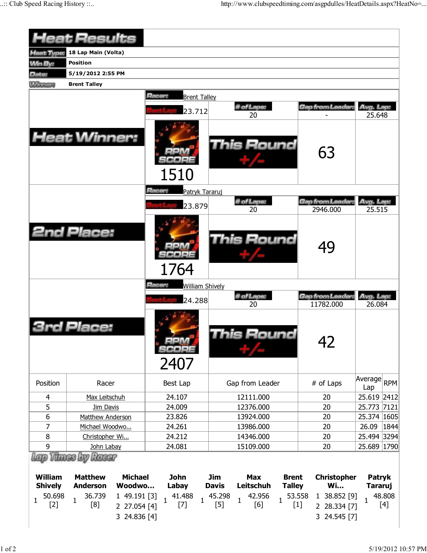|                                   |                                                                                                                                 | # of Laps:                                                                                | Gap from Leader:                                                                                                  | Avg. Lap:                                                                     |
|-----------------------------------|---------------------------------------------------------------------------------------------------------------------------------|-------------------------------------------------------------------------------------------|-------------------------------------------------------------------------------------------------------------------|-------------------------------------------------------------------------------|
| <b>Heat Winner:</b>               |                                                                                                                                 | This Round                                                                                | 63                                                                                                                | 25.648                                                                        |
|                                   | Racer:                                                                                                                          |                                                                                           |                                                                                                                   |                                                                               |
|                                   |                                                                                                                                 | # of Laps:                                                                                | Gap from Leader                                                                                                   | Avg. Lap:                                                                     |
| <b>2nd Place:</b>                 |                                                                                                                                 | 20<br><b>This Round</b>                                                                   | 2946.000                                                                                                          | 25.515                                                                        |
|                                   | 1764                                                                                                                            |                                                                                           |                                                                                                                   |                                                                               |
|                                   |                                                                                                                                 |                                                                                           |                                                                                                                   | Avg. Lap:                                                                     |
|                                   |                                                                                                                                 | 20                                                                                        | 11782.000                                                                                                         | 26.084                                                                        |
| Place;                            | 2407                                                                                                                            | his Round                                                                                 | 42                                                                                                                |                                                                               |
| Racer                             | Best Lap                                                                                                                        | Gap from Leader                                                                           | # of Laps                                                                                                         | Average RPM<br>Lap                                                            |
| Max Leitschuh                     | 24.107                                                                                                                          | 12111.000                                                                                 | 20                                                                                                                | 25.619 2412                                                                   |
| Jim Davis                         | 24.009                                                                                                                          | 12376.000                                                                                 | 20                                                                                                                | 25.773 7121                                                                   |
| Matthew Anderson                  | 23.826                                                                                                                          | 13924.000                                                                                 | 20                                                                                                                | 25.374 1605                                                                   |
| Michael Woodwo                    | 24.261                                                                                                                          | 13986.000                                                                                 | 20                                                                                                                | 26.09<br> 1844                                                                |
| Christopher Wi                    | 24.212                                                                                                                          | 14346.000                                                                                 | 20                                                                                                                | 25.494 3294                                                                   |
| John Labay                        | 24.081                                                                                                                          | 15109.000                                                                                 | 20                                                                                                                | 25.689 1790                                                                   |
| <b>Matthew</b><br><b>Anderson</b> | <b>John</b><br>Labay                                                                                                            | <b>Max</b><br>Leitschuh                                                                   | <b>Wi</b>                                                                                                         | <b>Patryk</b><br><b>Tararuj</b><br>48.808                                     |
| Heat Type:                        | <b>Heat Results</b><br>18 Lap Main (Volta)<br><b>Position</b><br>5/19/2012 2:55 PM<br><b>Brent Talley</b><br>Lap Thues by Rueur | Racer:<br>23.712<br>1510<br>23.879<br><b>Racer:</b><br>24.288<br><b>Michael</b><br>Woodwo | <b>Brent Talley</b><br>20<br>Patryk Tararuj<br><b>William Shively</b><br># of Laps:<br><b>Jim</b><br><b>Davis</b> | 49<br>Gap from Leader:<br><b>Brent</b><br><b>Christopher</b><br><b>Talley</b> |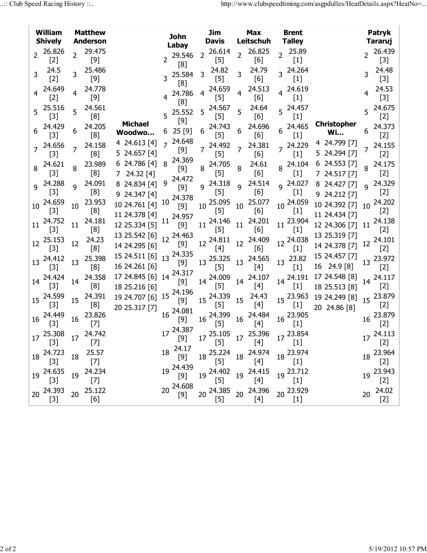|                 | <b>William</b><br><b>Shively</b> |                | <b>Matthew</b><br><b>Anderson</b> |                                          | <b>John</b>                        | Jim<br>Davis                                                                                   |                | <b>Max</b><br>Leitschuh | <b>Brent</b><br><b>Talley</b> |                                 |                | Patryk<br><b>Tararuj</b> |
|-----------------|----------------------------------|----------------|-----------------------------------|------------------------------------------|------------------------------------|------------------------------------------------------------------------------------------------|----------------|-------------------------|-------------------------------|---------------------------------|----------------|--------------------------|
| $\overline{2}$  | 26.826<br>$[2]$                  | $\overline{2}$ | 29.475<br>$[9]$                   |                                          | Labay<br>29.546<br>[8]             | 26.614<br>2 <sup>1</sup><br>$[5]$                                                              | $\overline{2}$ | 26.825<br>[6]           | 25.89<br>2<br>$[1]$           |                                 | $\overline{2}$ | 26.439<br>$[3]$          |
| 3               | 24.5<br>$[2]$                    |                | 25.486<br>$[9]$                   |                                          | 25.584<br>[8]                      | 24.82<br>3<br>$[5]$                                                                            |                | 24.79<br>[6]            | 3 24.264<br>$[1]$             |                                 |                | 24.48<br>$[3]$           |
|                 | 24.649<br>$[2]$                  | 4              | 24.778<br>$[9]$                   |                                          | 24.786<br>[8]                      | 24.659<br>4<br>$[5]$                                                                           | 4              | 24.513<br>[6]           | 24.619<br>4<br>$[1]$          |                                 |                | 24.53<br>$[3]$           |
| 5               | 25.516<br>$[3]$                  | 5              | 24.561<br>[8]                     |                                          | $5^{25.552}$<br>$[9]$              | 24.567<br>5<br>$[5]$                                                                           |                | 24.64<br>[6]            | $5^{24.457}$<br>$[1]$         |                                 |                | 5 24.675<br>$[2]$        |
|                 | 24.429<br>$[3]$                  | 6              | 24.205<br>[8]                     | <b>Michael</b><br>Woodwo                 | $6\ 25\ [9]$                       | 24.743<br>6<br>$[5]$                                                                           | 6              | 24.696<br>[6]           | 24.465<br>6<br>$[1]$          | <b>Christopher</b><br><b>Wi</b> | 6              | 24.373<br>$[2]$          |
|                 | 24.656<br>$[3]$                  |                | 24.158<br>[8]                     | 4 24.613 [4]<br>5 24.657 [4]             | 24.648<br>[9]                      | 24.492<br>$[5]$                                                                                |                | 24.381<br>[6]           | 7 24.229<br>$[1]$             | 4 24.799 [7]<br>5 24.294 [7]    | 7              | 24.155<br>$[2]$          |
|                 | 24.621<br>$[3]$                  | 8              | 23.989<br>[8]                     | 6 24.786 [4]<br>24.32 [4]<br>7.          | 24.369<br>8<br>[9]                 | 24.705<br>8<br>$[5]$                                                                           | 8              | 24.61<br>[6]            | 24.104<br>8<br>$[1]$          | 6 24.553 [7]<br>7 24.517 [7]    |                | 24.175<br>$[2]$          |
| $\mathsf{q}$    | 24.288<br>$[3]$                  | $\mathsf{q}$   | 24.091<br>[8]                     | 8 24.834 [4]<br>9 24.347 [4]             | 24.472<br>9<br>[9]                 | 24.318<br>9<br>$[5]$                                                                           | $\overline{Q}$ | 24.514<br>[6]           | $9^{24.027}$<br>$[1]$         | 8 24.427 [7]<br>9 24.212 [7]    | $\mathsf{q}$   | 24.329<br>$[2]$          |
| 10              | 24.659<br>$[3]$                  | 10             | 23.953<br>[8]                     | 10 24.761 [4]<br>11 24.378 [4]           | 24.378<br>10<br>[9]                | 25.095<br>10<br>$[5]$                                                                          | 10             | 25.077<br>[6]           | 24.059<br>10<br>$[1]$         | 10 24.392 [7]<br>11 24.434 [7]  | 10             | 24.202<br>$[2]$          |
| 11              | 24.752<br>$[3]$                  | 11             | 24.181<br>[8]                     | 12 25.334 [5]                            | 24.957<br>11<br>$[9]$              | 24.146<br>11<br>$[5]$                                                                          | 11             | 24.201<br>[6]           | 11 23.904<br>$[1]$            | 12 24.306 [7]                   | 11             | 24.138<br>$[2]$          |
|                 | $12^{25.153}$<br>$[3]$           | 12             | 24.23<br>[8]                      | 13 25.542 [6]<br>14 24.295 [6]           | 12 24.463<br>$[9]$                 | 24.811<br>12 <sup>1</sup><br>$[4]$                                                             | 12             | 24.409<br>[6]           | 12 24.038<br>$[1]$            | 13 25.319 [7]<br>14 24.378 [7]  | 12             | 24.101<br>$[2]$          |
|                 | 13 24.412<br>$[3]$               | 13             | 25.398<br>[8]                     | 15 24.511 [6] 13 24.335<br>16 24.261 [6] | [9]                                | 13 25.325<br>$[5]$                                                                             |                | 13 24.565<br>$[4]$      | 13 23.82<br>$[1]$             | 15 24.457 [7]<br>16 24.9 [8]    |                | 13 23.972<br>$[2]$       |
| 14              | 24.424<br>$[3]$                  | 14             | 24.358<br>[8]                     | 17 24.845 [6] 14<br>18 25.216 [6]        | 24.317<br>[9]                      | 24.009<br>14<br>$[5]$                                                                          | 14             | 24.107<br>$[4]$         | 14 24.191<br>$[1]$            | 17 24.548 [8]<br>18 25.513 [8]  | 14             | 24.117<br>$[2]$          |
| 15 <sup>1</sup> | 24.599<br>$[3]$                  | 15             | 24.391<br>[8]                     | 19 24.707 [6]<br>20 25.317 [7]           | 15 24.196<br>$[9]$                 | 15 24.339<br>$[5]$                                                                             | 15             | 24.43<br>[4]            | 15 23.963<br>$[1]$            | 19 24.249 [8]<br>20 24.86 [8]   |                | 15 23.879<br>$[2]$       |
| 16              | 24.449<br>$[3]$                  | 16             | 23.826<br>$[7]$                   |                                          | 16 24.081<br>$[9]$                 | 24.399<br>16 <sup>1</sup><br>$[5]$                                                             | 16             | 24.484<br>$[4]$         | 16 23.905<br>$[1]$            |                                 |                | 16 23.879<br>$[2]$       |
|                 | 17 25.308 17 24.742              |                | $[7]$                             |                                          | $17\frac{24.387}{10^{2}}$<br>$[9]$ | 17 <sup>25.105</sup> 17 <sup>25.396</sup> 17 <sup>23.854</sup><br>[5] 17 [4] 17 [1]            |                |                         |                               |                                 |                | $17^{24.113}$            |
|                 | 18 24.723<br>$[3]$               |                | 18 25.57<br>$[7]$                 |                                          |                                    | $18\begin{array}{l} 25.224 \\ [5] \end{array}$ 18 $\begin{array}{l} 24.974 \\ [4] \end{array}$ |                |                         | 18 23.974<br>$10^{10}$ [1]    |                                 |                | 18 23.964                |
|                 | 19 24.635<br>$[3]$               |                | 19 24.234<br>$[7]$                |                                          | 19 24.439                          | 19 24.402 19 24.415<br>$[5]$                                                                   |                | $[4]$                   | 19 23.712<br>$[1]$            |                                 |                | 19 23.943<br>$[2]$       |
|                 | 20 24.393<br>$[3]$               |                | 20 25.122<br>$[6]$                |                                          | 24.608<br>20                       | 20 <sup>24.385</sup> 20 <sup>24.396</sup><br>[5] 20 [4]                                        |                |                         | 20 23.929<br>$[1]$            |                                 |                | $20^{24.02}$<br>$[2]$    |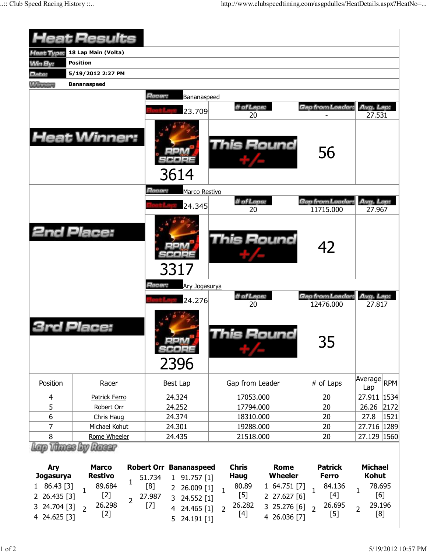|                  | <b>Heat Results</b>               |                                                |                                                 |                                   |                                 |
|------------------|-----------------------------------|------------------------------------------------|-------------------------------------------------|-----------------------------------|---------------------------------|
| Heat Type:       | 18 Lap Main (Volta)               |                                                |                                                 |                                   |                                 |
| <b>Min By:</b>   | <b>Position</b>                   |                                                |                                                 |                                   |                                 |
| Date:            | 5/19/2012 2:27 PM                 |                                                |                                                 |                                   |                                 |
| <b>Winners</b>   | <b>Bananaspeed</b>                |                                                |                                                 |                                   |                                 |
|                  | <b>Heat Winner:</b>               | <b>Hacer:</b><br>Bananaspeed<br>23.709<br>3614 | # of Laps:<br>20<br><b>This Round</b>           | Gap from Leader:<br>56            | Avg. Lap:<br>27.531             |
|                  |                                   | Racer:<br>Marco Restivo<br>24.345              | # of Laps:<br>20                                | Gap from Leader<br>11715.000      | Avg. Lap:<br>27.967             |
|                  | <b>2nd Place:</b>                 | 3317                                           | <b>This Round</b>                               | 42                                |                                 |
|                  |                                   | Racer:<br>Ary Jogasurya<br>24.276              | # of Laps:<br>20                                | Gap from Leader:<br>12476.000     | Avg. Lap:<br>27.817             |
|                  | <b>3rd Place:</b>                 | 2396                                           | is Round                                        | 35                                |                                 |
| Position         | Racer                             | Best Lap                                       | Gap from Leader                                 | # of Laps                         | Average<br><b>RPM</b><br>Lap    |
| $\overline{4}$   | Patrick Ferro                     | 24.324                                         | 17053.000                                       | 20                                | 27.911   1534                   |
| 5                | Robert Orr                        | 24.252                                         | 17794.000                                       | 20                                | 26.26<br>2172                   |
| 6                | Chris Haug                        | 24.374                                         | 18310.000                                       | 20                                | 1521 <br>27.8                   |
| 7                | Michael Kohut                     | 24.301                                         | 19288.000                                       | 20                                | 27.716 1289                     |
| 8                | Rome Wheeler                      | 24.435                                         | 21518.000                                       | 20                                | 27.129 1560                     |
|                  | Thurs by<br>Racer                 |                                                |                                                 |                                   |                                 |
| Ary              | <b>Marco</b>                      | <b>Robert Orr Bananaspeed</b>                  | <b>Chris</b><br><b>Rome</b>                     | <b>Patrick</b>                    | <b>Michael</b>                  |
| <b>Jogasurya</b> | <b>Restivo</b><br>1               | 51.734<br>$1$ 91.757 $[1]$                     | <b>Haug</b><br><b>Wheeler</b>                   | <b>Ferro</b>                      | <b>Kohut</b>                    |
| 86.43 [3]<br>1   | 89.684<br>$\mathbf{1}$            | [8]<br>26.009 [1]<br>$\mathbf{2}$              | 80.89<br>$1, 64.751$ [7]<br>$\mathbf{1}$        | 84.136<br>$\mathbf{1}$            | 78.695<br>$\mathbf{1}$          |
| 26.435 [3]<br>2  | $[2]$<br>$\overline{2}$           | 27.987<br>24.552 [1]<br>3                      | $[5]$<br>2 27.627 [6]                           | $[4]$                             | [6]                             |
| 24.704 [3]<br>3  | 26.298<br>$\overline{2}$<br>$[2]$ | $[7]$<br>24.465 [1]<br>$\overline{4}$          | 26.282<br>3 25.276 [6]<br>$\overline{2}$<br>[4] | 26.695<br>$\overline{2}$<br>$[5]$ | 29.196<br>$\overline{2}$<br>[8] |
| 4 24.625 [3]     |                                   | 5<br>24.191 [1]                                | 4 26.036 [7]                                    |                                   |                                 |

5 24.191 [1]